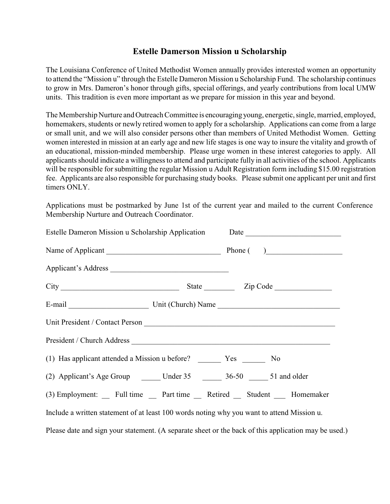## **Estelle Damerson Mission u Scholarship**

The Louisiana Conference of United Methodist Women annually provides interested women an opportunity to attend the "Mission u" through the Estelle Dameron Mission u Scholarship Fund. The scholarship continues to grow in Mrs. Dameron's honor through gifts, special offerings, and yearly contributions from local UMW units. This tradition is even more important as we prepare for mission in this year and beyond.

The Membership Nurture and Outreach Committee is encouraging young, energetic, single, married, employed, homemakers, students or newly retired women to apply for a scholarship. Applications can come from a large or small unit, and we will also consider persons other than members of United Methodist Women. Getting women interested in mission at an early age and new life stages is one way to insure the vitality and growth of an educational, mission-minded membership. Please urge women in these interest categories to apply. All applicants should indicate a willingness to attend and participate fully in all activities of the school. Applicants will be responsible for submitting the regular Mission u Adult Registration form including \$15.00 registration fee. Applicants are also responsible for purchasing study books. Please submit one applicant per unit and first timers ONLY.

Applications must be postmarked by June 1st of the current year and mailed to the current Conference Membership Nurture and Outreach Coordinator.

| Estelle Dameron Mission u Scholarship Application Date _________________________                     |  |
|------------------------------------------------------------------------------------------------------|--|
|                                                                                                      |  |
|                                                                                                      |  |
|                                                                                                      |  |
|                                                                                                      |  |
|                                                                                                      |  |
|                                                                                                      |  |
|                                                                                                      |  |
| (2) Applicant's Age Group _________ Under 35 _________ 36-50 _______ 51 and older                    |  |
| (3) Employment: Full time _ Part time _ Retired _ Student _ Homemaker                                |  |
| Include a written statement of at least 100 words noting why you want to attend Mission u.           |  |
| Please date and sign your statement. (A separate sheet or the back of this application may be used.) |  |